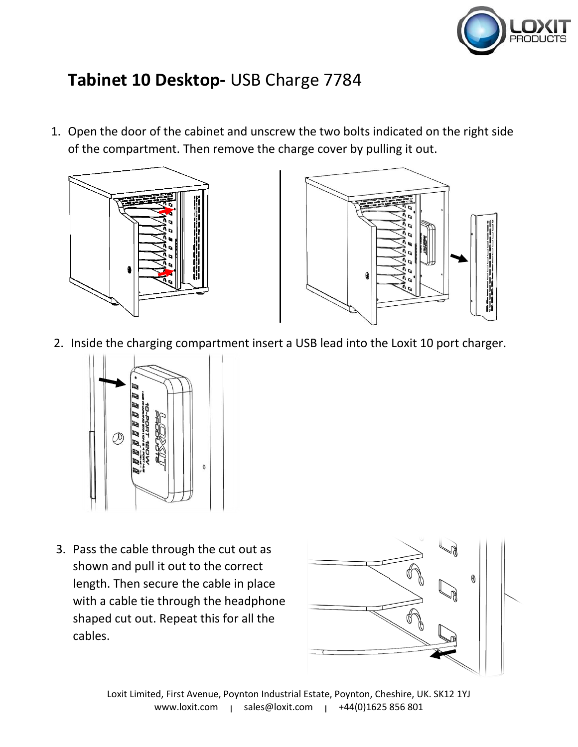

## **Tabinet 10 Desktop-** USB Charge 7784

1. Open the door of the cabinet and unscrew the two bolts indicated on the right side of the compartment. Then remove the charge cover by pulling it out.





2. Inside the charging compartment insert a USB lead into the Loxit 10 port charger.



3. Pass the cable through the cut out as shown and pull it out to the correct length. Then secure the cable in place with a cable tie through the headphone shaped cut out. Repeat this for all the cables.